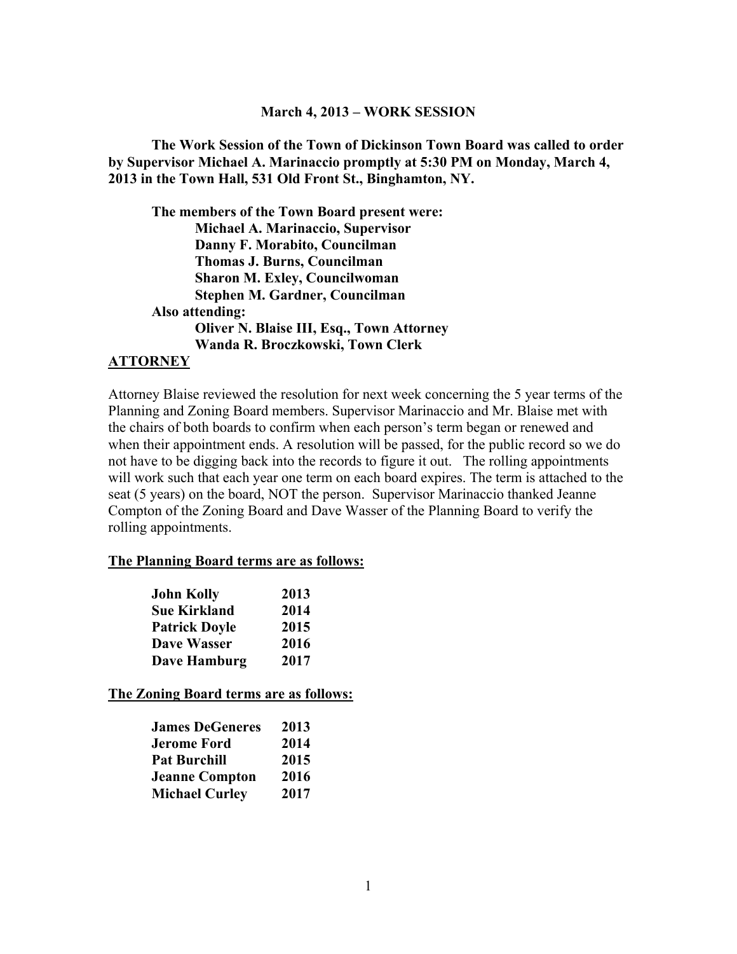#### **March 4, 2013 – WORK SESSION**

**The Work Session of the Town of Dickinson Town Board was called to order by Supervisor Michael A. Marinaccio promptly at 5:30 PM on Monday, March 4, 2013 in the Town Hall, 531 Old Front St., Binghamton, NY.** 

**The members of the Town Board present were: Michael A. Marinaccio, Supervisor Danny F. Morabito, Councilman Thomas J. Burns, Councilman Sharon M. Exley, Councilwoman Stephen M. Gardner, Councilman Also attending: Oliver N. Blaise III, Esq., Town Attorney Wanda R. Broczkowski, Town Clerk** 

#### **ATTORNEY**

Attorney Blaise reviewed the resolution for next week concerning the 5 year terms of the Planning and Zoning Board members. Supervisor Marinaccio and Mr. Blaise met with the chairs of both boards to confirm when each person's term began or renewed and when their appointment ends. A resolution will be passed, for the public record so we do not have to be digging back into the records to figure it out. The rolling appointments will work such that each year one term on each board expires. The term is attached to the seat (5 years) on the board, NOT the person. Supervisor Marinaccio thanked Jeanne Compton of the Zoning Board and Dave Wasser of the Planning Board to verify the rolling appointments.

#### **The Planning Board terms are as follows:**

| <b>John Kolly</b>    | 2013 |
|----------------------|------|
| <b>Sue Kirkland</b>  | 2014 |
| <b>Patrick Doyle</b> | 2015 |
| <b>Dave Wasser</b>   | 2016 |
| <b>Dave Hamburg</b>  | 2017 |

**The Zoning Board terms are as follows:** 

| <b>James DeGeneres</b> | 2013 |
|------------------------|------|
| <b>Jerome Ford</b>     | 2014 |
| <b>Pat Burchill</b>    | 2015 |
| <b>Jeanne Compton</b>  | 2016 |
| <b>Michael Curley</b>  | 2017 |
|                        |      |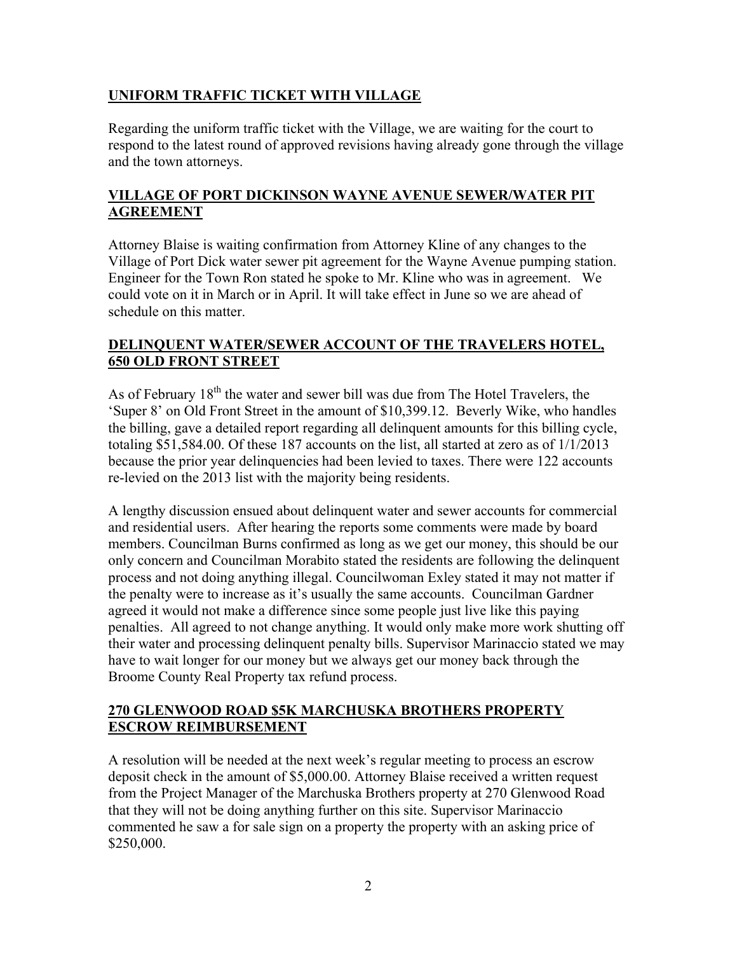## **UNIFORM TRAFFIC TICKET WITH VILLAGE**

Regarding the uniform traffic ticket with the Village, we are waiting for the court to respond to the latest round of approved revisions having already gone through the village and the town attorneys.

## **VILLAGE OF PORT DICKINSON WAYNE AVENUE SEWER/WATER PIT AGREEMENT**

Attorney Blaise is waiting confirmation from Attorney Kline of any changes to the Village of Port Dick water sewer pit agreement for the Wayne Avenue pumping station. Engineer for the Town Ron stated he spoke to Mr. Kline who was in agreement. We could vote on it in March or in April. It will take effect in June so we are ahead of schedule on this matter.

## **DELINQUENT WATER/SEWER ACCOUNT OF THE TRAVELERS HOTEL, 650 OLD FRONT STREET**

As of February  $18<sup>th</sup>$  the water and sewer bill was due from The Hotel Travelers, the 'Super 8' on Old Front Street in the amount of \$10,399.12. Beverly Wike, who handles the billing, gave a detailed report regarding all delinquent amounts for this billing cycle, totaling \$51,584.00. Of these 187 accounts on the list, all started at zero as of 1/1/2013 because the prior year delinquencies had been levied to taxes. There were 122 accounts re-levied on the 2013 list with the majority being residents.

A lengthy discussion ensued about delinquent water and sewer accounts for commercial and residential users. After hearing the reports some comments were made by board members. Councilman Burns confirmed as long as we get our money, this should be our only concern and Councilman Morabito stated the residents are following the delinquent process and not doing anything illegal. Councilwoman Exley stated it may not matter if the penalty were to increase as it's usually the same accounts. Councilman Gardner agreed it would not make a difference since some people just live like this paying penalties. All agreed to not change anything. It would only make more work shutting off their water and processing delinquent penalty bills. Supervisor Marinaccio stated we may have to wait longer for our money but we always get our money back through the Broome County Real Property tax refund process.

#### **270 GLENWOOD ROAD \$5K MARCHUSKA BROTHERS PROPERTY ESCROW REIMBURSEMENT**

A resolution will be needed at the next week's regular meeting to process an escrow deposit check in the amount of \$5,000.00. Attorney Blaise received a written request from the Project Manager of the Marchuska Brothers property at 270 Glenwood Road that they will not be doing anything further on this site. Supervisor Marinaccio commented he saw a for sale sign on a property the property with an asking price of \$250,000.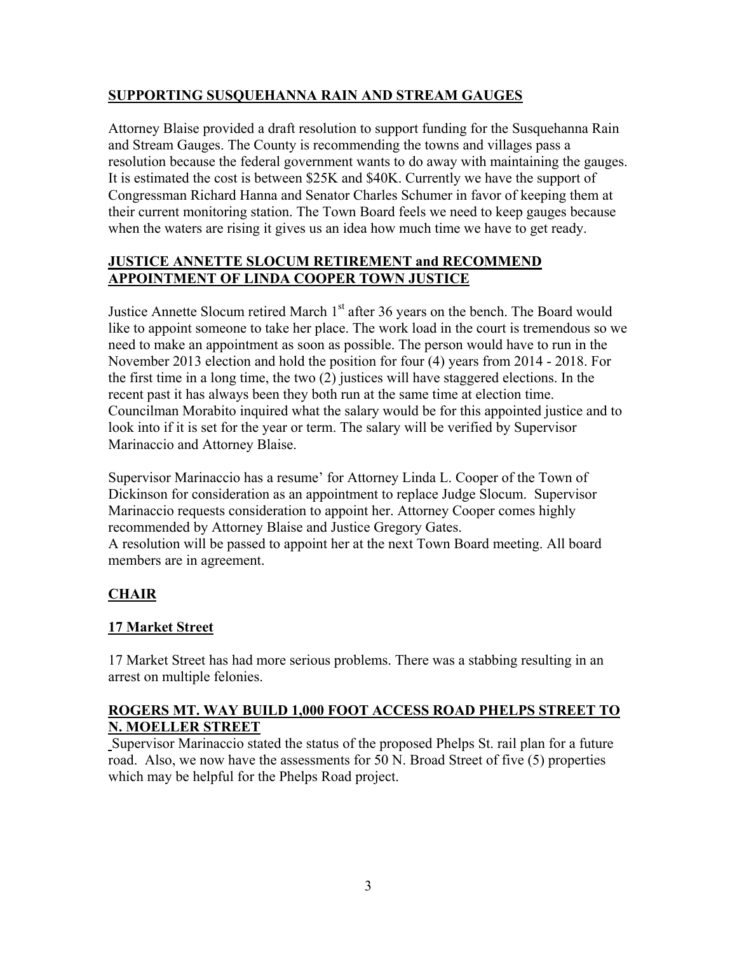## **SUPPORTING SUSQUEHANNA RAIN AND STREAM GAUGES**

Attorney Blaise provided a draft resolution to support funding for the Susquehanna Rain and Stream Gauges. The County is recommending the towns and villages pass a resolution because the federal government wants to do away with maintaining the gauges. It is estimated the cost is between \$25K and \$40K. Currently we have the support of Congressman Richard Hanna and Senator Charles Schumer in favor of keeping them at their current monitoring station. The Town Board feels we need to keep gauges because when the waters are rising it gives us an idea how much time we have to get ready.

## **JUSTICE ANNETTE SLOCUM RETIREMENT and RECOMMEND APPOINTMENT OF LINDA COOPER TOWN JUSTICE**

Justice Annette Slocum retired March  $1<sup>st</sup>$  after 36 years on the bench. The Board would like to appoint someone to take her place. The work load in the court is tremendous so we need to make an appointment as soon as possible. The person would have to run in the November 2013 election and hold the position for four (4) years from 2014 - 2018. For the first time in a long time, the two (2) justices will have staggered elections. In the recent past it has always been they both run at the same time at election time. Councilman Morabito inquired what the salary would be for this appointed justice and to look into if it is set for the year or term. The salary will be verified by Supervisor Marinaccio and Attorney Blaise.

Supervisor Marinaccio has a resume' for Attorney Linda L. Cooper of the Town of Dickinson for consideration as an appointment to replace Judge Slocum. Supervisor Marinaccio requests consideration to appoint her. Attorney Cooper comes highly recommended by Attorney Blaise and Justice Gregory Gates. A resolution will be passed to appoint her at the next Town Board meeting. All board members are in agreement.

# **CHAIR**

# **17 Market Street**

17 Market Street has had more serious problems. There was a stabbing resulting in an arrest on multiple felonies.

#### **ROGERS MT. WAY BUILD 1,000 FOOT ACCESS ROAD PHELPS STREET TO N. MOELLER STREET**

Supervisor Marinaccio stated the status of the proposed Phelps St. rail plan for a future road. Also, we now have the assessments for 50 N. Broad Street of five (5) properties which may be helpful for the Phelps Road project.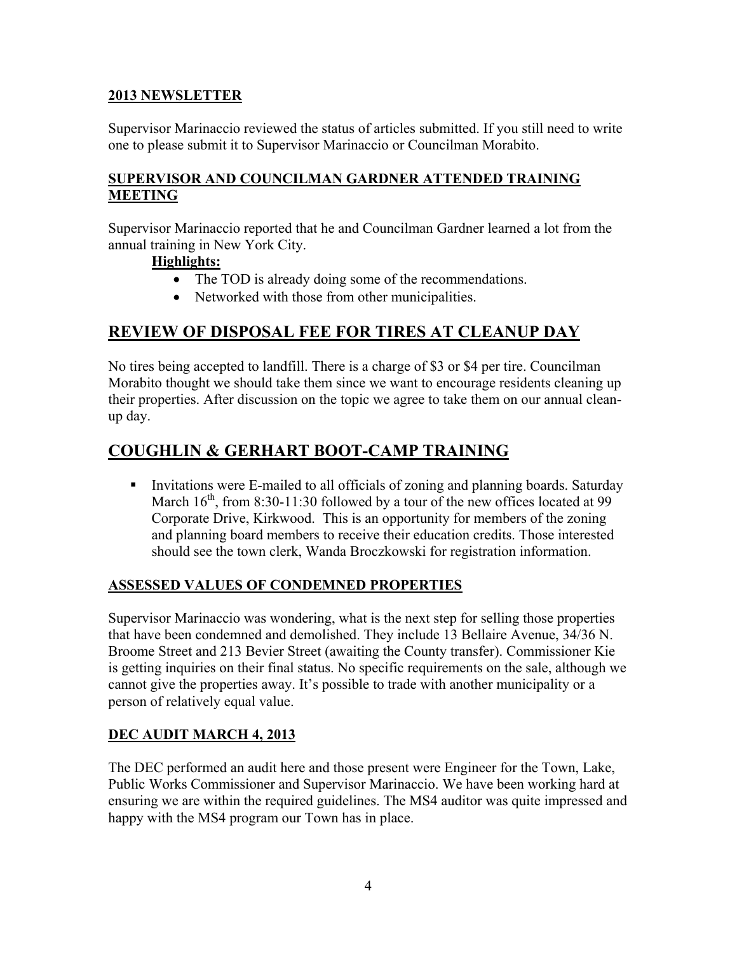### **2013 NEWSLETTER**

Supervisor Marinaccio reviewed the status of articles submitted. If you still need to write one to please submit it to Supervisor Marinaccio or Councilman Morabito.

## **SUPERVISOR AND COUNCILMAN GARDNER ATTENDED TRAINING MEETING**

Supervisor Marinaccio reported that he and Councilman Gardner learned a lot from the annual training in New York City.

#### **Highlights:**

- The TOD is already doing some of the recommendations.
- Networked with those from other municipalities.

# **REVIEW OF DISPOSAL FEE FOR TIRES AT CLEANUP DAY**

No tires being accepted to landfill. There is a charge of \$3 or \$4 per tire. Councilman Morabito thought we should take them since we want to encourage residents cleaning up their properties. After discussion on the topic we agree to take them on our annual cleanup day.

# **COUGHLIN & GERHART BOOT-CAMP TRAINING**

Invitations were E-mailed to all officials of zoning and planning boards. Saturday March  $16^{th}$ , from 8:30-11:30 followed by a tour of the new offices located at 99 Corporate Drive, Kirkwood. This is an opportunity for members of the zoning and planning board members to receive their education credits. Those interested should see the town clerk, Wanda Broczkowski for registration information.

#### **ASSESSED VALUES OF CONDEMNED PROPERTIES**

Supervisor Marinaccio was wondering, what is the next step for selling those properties that have been condemned and demolished. They include 13 Bellaire Avenue, 34/36 N. Broome Street and 213 Bevier Street (awaiting the County transfer). Commissioner Kie is getting inquiries on their final status. No specific requirements on the sale, although we cannot give the properties away. It's possible to trade with another municipality or a person of relatively equal value.

# **DEC AUDIT MARCH 4, 2013**

The DEC performed an audit here and those present were Engineer for the Town, Lake, Public Works Commissioner and Supervisor Marinaccio. We have been working hard at ensuring we are within the required guidelines. The MS4 auditor was quite impressed and happy with the MS4 program our Town has in place.